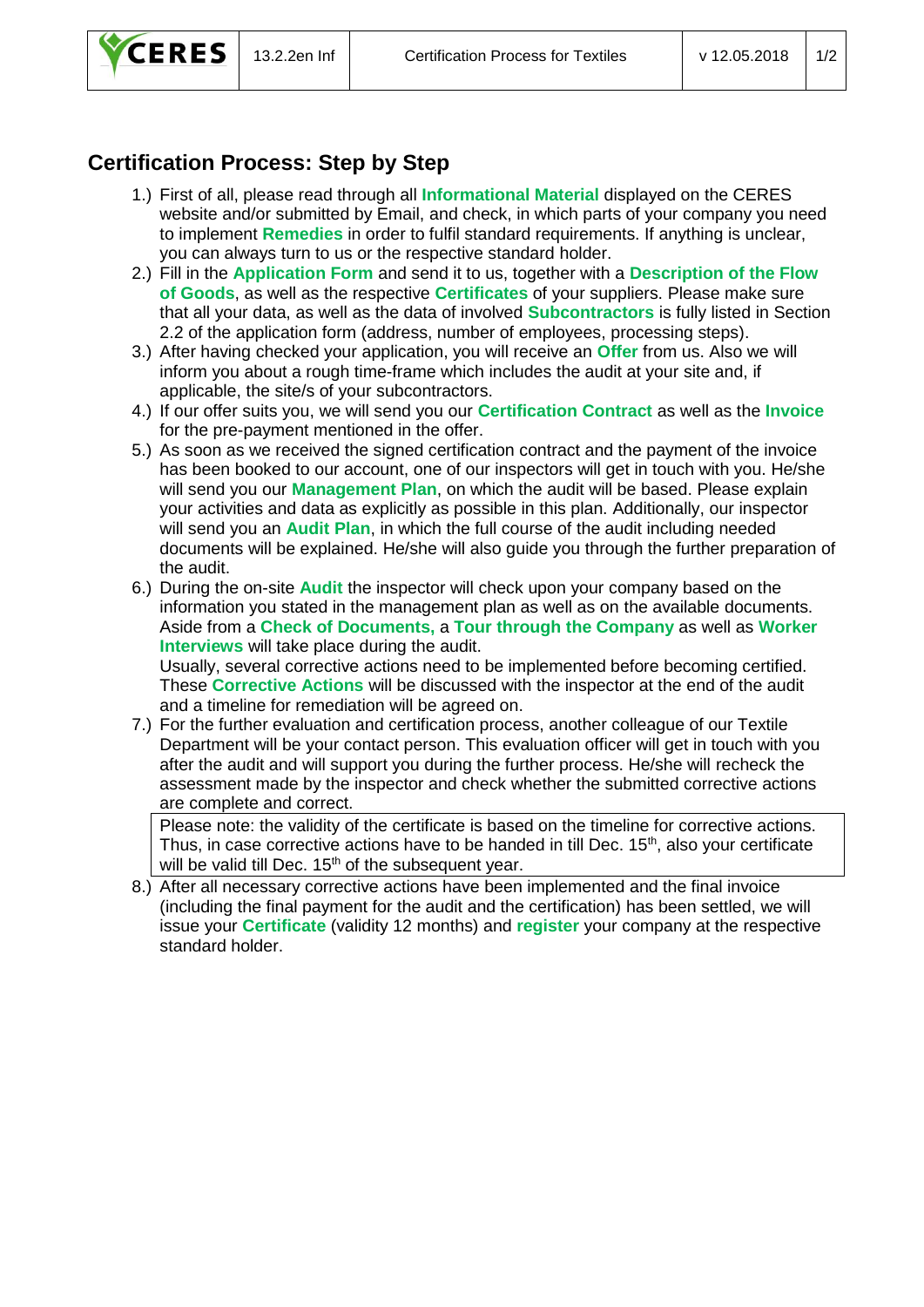

## **Certification Process: Step by Step**

- 1.) First of all, please read through all **Informational Material** displayed on the CERES website and/or submitted by Email, and check, in which parts of your company you need to implement **Remedies** in order to fulfil standard requirements. If anything is unclear, you can always turn to us or the respective standard holder.
- 2.) Fill in the **Application Form** and send it to us, together with a **Description of the Flow of Goods**, as well as the respective **Certificates** of your suppliers. Please make sure that all your data, as well as the data of involved **Subcontractors** is fully listed in Section 2.2 of the application form (address, number of employees, processing steps).
- 3.) After having checked your application, you will receive an **Offer** from us. Also we will inform you about a rough time-frame which includes the audit at your site and, if applicable, the site/s of your subcontractors.
- 4.) If our offer suits you, we will send you our **Certification Contract** as well as the **Invoice** for the pre-payment mentioned in the offer.
- 5.) As soon as we received the signed certification contract and the payment of the invoice has been booked to our account, one of our inspectors will get in touch with you. He/she will send you our **Management Plan**, on which the audit will be based. Please explain your activities and data as explicitly as possible in this plan. Additionally, our inspector will send you an **Audit Plan**, in which the full course of the audit including needed documents will be explained. He/she will also guide you through the further preparation of the audit.
- 6.) During the on-site **Audit** the inspector will check upon your company based on the information you stated in the management plan as well as on the available documents. Aside from a **Check of Documents,** a **Tour through the Company** as well as **Worker Interviews** will take place during the audit.

Usually, several corrective actions need to be implemented before becoming certified. These **Corrective Actions** will be discussed with the inspector at the end of the audit and a timeline for remediation will be agreed on.

7.) For the further evaluation and certification process, another colleague of our Textile Department will be your contact person. This evaluation officer will get in touch with you after the audit and will support you during the further process. He/she will recheck the assessment made by the inspector and check whether the submitted corrective actions are complete and correct.

Please note: the validity of the certificate is based on the timeline for corrective actions. Thus, in case corrective actions have to be handed in till Dec.  $15<sup>th</sup>$ , also your certificate will be valid till Dec.  $15<sup>th</sup>$  of the subsequent year.

8.) After all necessary corrective actions have been implemented and the final invoice (including the final payment for the audit and the certification) has been settled, we will issue your **Certificate** (validity 12 months) and **register** your company at the respective standard holder.